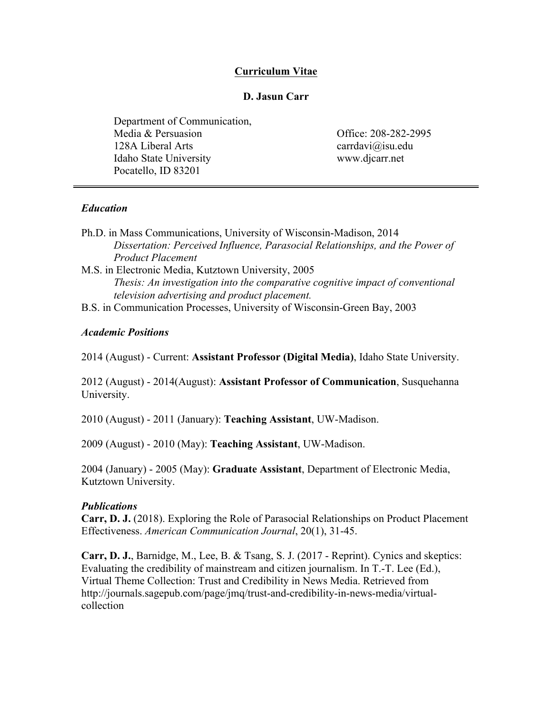## **Curriculum Vitae**

## **D. Jasun Carr**

Department of Communication, Media & Persuasion 128A Liberal Arts Idaho State University Pocatello, ID 83201

Office: 208-282-2995 carrdavi@isu.edu www.djcarr.net

## *Education*

- Ph.D. in Mass Communications, University of Wisconsin-Madison, 2014 *Dissertation: Perceived Influence, Parasocial Relationships, and the Power of Product Placement*
- M.S. in Electronic Media, Kutztown University, 2005 *Thesis: An investigation into the comparative cognitive impact of conventional television advertising and product placement.*
- B.S. in Communication Processes, University of Wisconsin-Green Bay, 2003

## *Academic Positions*

2014 (August) - Current: **Assistant Professor (Digital Media)**, Idaho State University.

2012 (August) - 2014(August): **Assistant Professor of Communication**, Susquehanna University.

2010 (August) - 2011 (January): **Teaching Assistant**, UW-Madison.

2009 (August) - 2010 (May): **Teaching Assistant**, UW-Madison.

2004 (January) - 2005 (May): **Graduate Assistant**, Department of Electronic Media, Kutztown University.

#### *Publications*

**Carr, D. J.** (2018). Exploring the Role of Parasocial Relationships on Product Placement Effectiveness. *American Communication Journal*, 20(1), 31-45.

**Carr, D. J.**, Barnidge, M., Lee, B. & Tsang, S. J. (2017 - Reprint). Cynics and skeptics: Evaluating the credibility of mainstream and citizen journalism. In T.-T. Lee (Ed.), Virtual Theme Collection: Trust and Credibility in News Media. Retrieved from http://journals.sagepub.com/page/jmq/trust-and-credibility-in-news-media/virtualcollection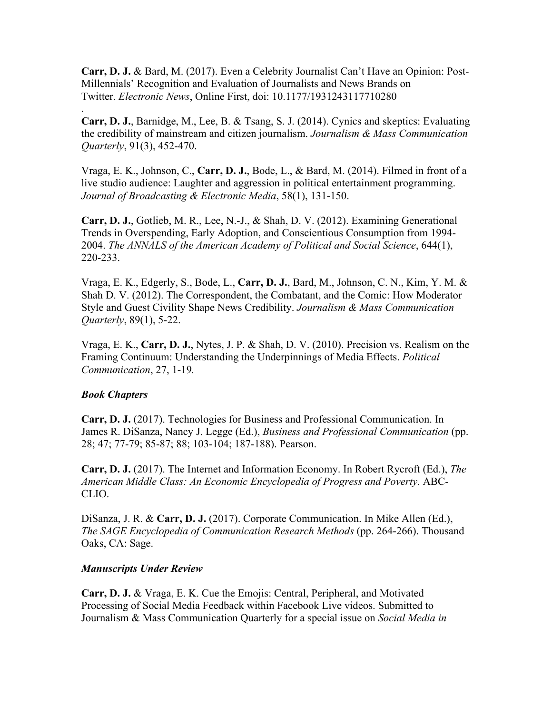**Carr, D. J.** & Bard, M. (2017). Even a Celebrity Journalist Can't Have an Opinion: Post-Millennials' Recognition and Evaluation of Journalists and News Brands on Twitter. *Electronic News*, Online First, doi: 10.1177/1931243117710280

**Carr, D. J.**, Barnidge, M., Lee, B. & Tsang, S. J. (2014). Cynics and skeptics: Evaluating the credibility of mainstream and citizen journalism. *Journalism & Mass Communication Quarterly*, 91(3), 452-470.

Vraga, E. K., Johnson, C., **Carr, D. J.**, Bode, L., & Bard, M. (2014). Filmed in front of a live studio audience: Laughter and aggression in political entertainment programming. *Journal of Broadcasting & Electronic Media*, 58(1), 131-150.

**Carr, D. J.**, Gotlieb, M. R., Lee, N.-J., & Shah, D. V. (2012). Examining Generational Trends in Overspending, Early Adoption, and Conscientious Consumption from 1994- 2004. *The ANNALS of the American Academy of Political and Social Science*, 644(1), 220-233.

Vraga, E. K., Edgerly, S., Bode, L., **Carr, D. J.**, Bard, M., Johnson, C. N., Kim, Y. M. & Shah D. V. (2012). The Correspondent, the Combatant, and the Comic: How Moderator Style and Guest Civility Shape News Credibility. *Journalism & Mass Communication Quarterly*, 89(1), 5-22.

Vraga, E. K., **Carr, D. J.**, Nytes, J. P. & Shah, D. V. (2010). Precision vs. Realism on the Framing Continuum: Understanding the Underpinnings of Media Effects. *Political Communication*, 27, 1-19*.*

#### *Book Chapters*

.

**Carr, D. J.** (2017). Technologies for Business and Professional Communication. In James R. DiSanza, Nancy J. Legge (Ed.), *Business and Professional Communication* (pp. 28; 47; 77-79; 85-87; 88; 103-104; 187-188). Pearson.

**Carr, D. J.** (2017). The Internet and Information Economy. In Robert Rycroft (Ed.), *The American Middle Class: An Economic Encyclopedia of Progress and Poverty*. ABC-CLIO.

DiSanza, J. R. & **Carr, D. J.** (2017). Corporate Communication. In Mike Allen (Ed.), *The SAGE Encyclopedia of Communication Research Methods* (pp. 264-266). Thousand Oaks, CA: Sage.

#### *Manuscripts Under Review*

**Carr, D. J.** & Vraga, E. K. Cue the Emojis: Central, Peripheral, and Motivated Processing of Social Media Feedback within Facebook Live videos. Submitted to Journalism & Mass Communication Quarterly for a special issue on *Social Media in*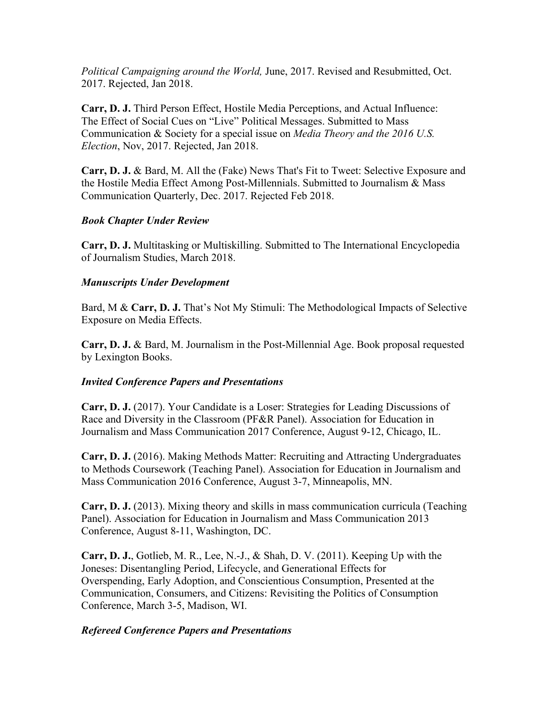*Political Campaigning around the World,* June, 2017. Revised and Resubmitted, Oct. 2017. Rejected, Jan 2018.

**Carr, D. J.** Third Person Effect, Hostile Media Perceptions, and Actual Influence: The Effect of Social Cues on "Live" Political Messages. Submitted to Mass Communication & Society for a special issue on *Media Theory and the 2016 U.S. Election*, Nov, 2017. Rejected, Jan 2018.

**Carr, D. J.** & Bard, M. All the (Fake) News That's Fit to Tweet: Selective Exposure and the Hostile Media Effect Among Post-Millennials. Submitted to Journalism & Mass Communication Quarterly, Dec. 2017. Rejected Feb 2018.

## *Book Chapter Under Review*

**Carr, D. J.** Multitasking or Multiskilling. Submitted to The International Encyclopedia of Journalism Studies, March 2018.

## *Manuscripts Under Development*

Bard, M & **Carr, D. J.** That's Not My Stimuli: The Methodological Impacts of Selective Exposure on Media Effects.

**Carr, D. J.** & Bard, M. Journalism in the Post-Millennial Age. Book proposal requested by Lexington Books.

# *Invited Conference Papers and Presentations*

**Carr, D. J.** (2017). Your Candidate is a Loser: Strategies for Leading Discussions of Race and Diversity in the Classroom (PF&R Panel). Association for Education in Journalism and Mass Communication 2017 Conference, August 9-12, Chicago, IL.

**Carr, D. J.** (2016). Making Methods Matter: Recruiting and Attracting Undergraduates to Methods Coursework (Teaching Panel). Association for Education in Journalism and Mass Communication 2016 Conference, August 3-7, Minneapolis, MN.

**Carr, D. J.** (2013). Mixing theory and skills in mass communication curricula (Teaching Panel). Association for Education in Journalism and Mass Communication 2013 Conference, August 8-11, Washington, DC.

**Carr, D. J.**, Gotlieb, M. R., Lee, N.-J., & Shah, D. V. (2011). Keeping Up with the Joneses: Disentangling Period, Lifecycle, and Generational Effects for Overspending, Early Adoption, and Conscientious Consumption, Presented at the Communication, Consumers, and Citizens: Revisiting the Politics of Consumption Conference, March 3-5, Madison, WI.

# *Refereed Conference Papers and Presentations*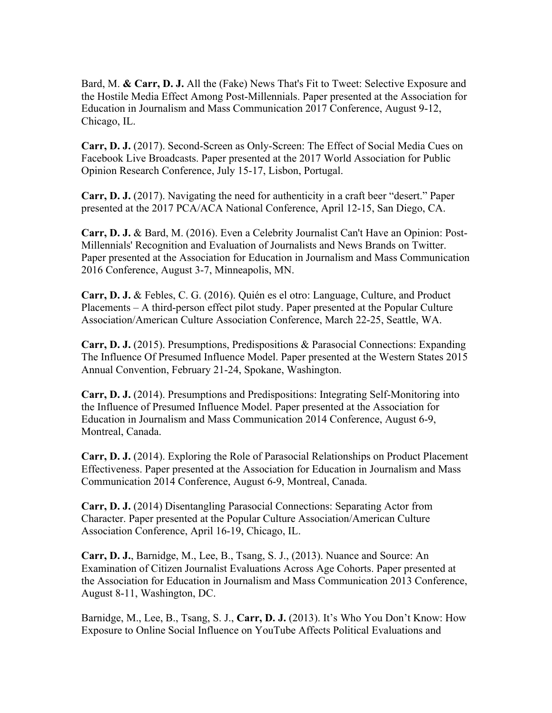Bard, M. **& Carr, D. J.** All the (Fake) News That's Fit to Tweet: Selective Exposure and the Hostile Media Effect Among Post-Millennials. Paper presented at the Association for Education in Journalism and Mass Communication 2017 Conference, August 9-12, Chicago, IL.

**Carr, D. J.** (2017). Second-Screen as Only-Screen: The Effect of Social Media Cues on Facebook Live Broadcasts. Paper presented at the 2017 World Association for Public Opinion Research Conference, July 15-17, Lisbon, Portugal.

**Carr, D. J.** (2017). Navigating the need for authenticity in a craft beer "desert." Paper presented at the 2017 PCA/ACA National Conference, April 12-15, San Diego, CA.

**Carr, D. J.** & Bard, M. (2016). Even a Celebrity Journalist Can't Have an Opinion: Post-Millennials' Recognition and Evaluation of Journalists and News Brands on Twitter. Paper presented at the Association for Education in Journalism and Mass Communication 2016 Conference, August 3-7, Minneapolis, MN.

**Carr, D. J.** & Febles, C. G. (2016). Quién es el otro: Language, Culture, and Product Placements – A third-person effect pilot study. Paper presented at the Popular Culture Association/American Culture Association Conference, March 22-25, Seattle, WA.

**Carr, D. J.** (2015). Presumptions, Predispositions & Parasocial Connections: Expanding The Influence Of Presumed Influence Model. Paper presented at the Western States 2015 Annual Convention, February 21-24, Spokane, Washington.

**Carr, D. J.** (2014). Presumptions and Predispositions: Integrating Self-Monitoring into the Influence of Presumed Influence Model. Paper presented at the Association for Education in Journalism and Mass Communication 2014 Conference, August 6-9, Montreal, Canada.

**Carr, D. J.** (2014). Exploring the Role of Parasocial Relationships on Product Placement Effectiveness. Paper presented at the Association for Education in Journalism and Mass Communication 2014 Conference, August 6-9, Montreal, Canada.

**Carr, D. J.** (2014) Disentangling Parasocial Connections: Separating Actor from Character. Paper presented at the Popular Culture Association/American Culture Association Conference, April 16-19, Chicago, IL.

**Carr, D. J.**, Barnidge, M., Lee, B., Tsang, S. J., (2013). Nuance and Source: An Examination of Citizen Journalist Evaluations Across Age Cohorts. Paper presented at the Association for Education in Journalism and Mass Communication 2013 Conference, August 8-11, Washington, DC.

Barnidge, M., Lee, B., Tsang, S. J., **Carr, D. J.** (2013). It's Who You Don't Know: How Exposure to Online Social Influence on YouTube Affects Political Evaluations and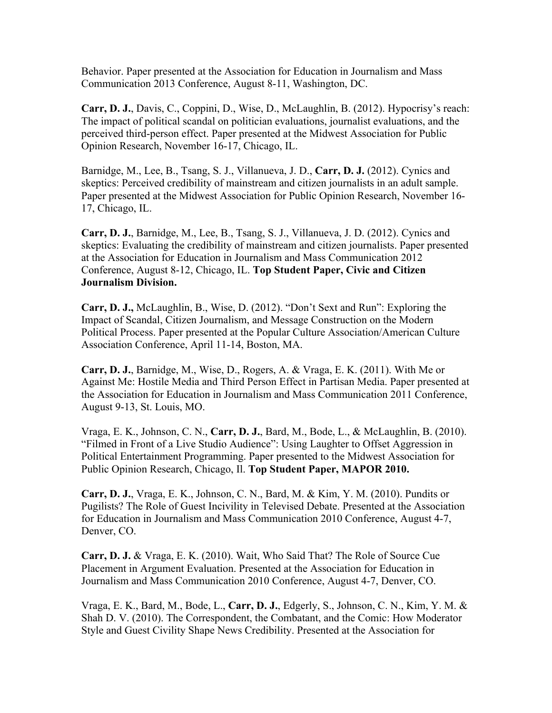Behavior. Paper presented at the Association for Education in Journalism and Mass Communication 2013 Conference, August 8-11, Washington, DC.

**Carr, D. J.**, Davis, C., Coppini, D., Wise, D., McLaughlin, B. (2012). Hypocrisy's reach: The impact of political scandal on politician evaluations, journalist evaluations, and the perceived third-person effect. Paper presented at the Midwest Association for Public Opinion Research, November 16-17, Chicago, IL.

Barnidge, M., Lee, B., Tsang, S. J., Villanueva, J. D., **Carr, D. J.** (2012). Cynics and skeptics: Perceived credibility of mainstream and citizen journalists in an adult sample. Paper presented at the Midwest Association for Public Opinion Research, November 16- 17, Chicago, IL.

**Carr, D. J.**, Barnidge, M., Lee, B., Tsang, S. J., Villanueva, J. D. (2012). Cynics and skeptics: Evaluating the credibility of mainstream and citizen journalists. Paper presented at the Association for Education in Journalism and Mass Communication 2012 Conference, August 8-12, Chicago, IL. **Top Student Paper, Civic and Citizen Journalism Division.**

**Carr, D. J.,** McLaughlin, B., Wise, D. (2012). "Don't Sext and Run": Exploring the Impact of Scandal, Citizen Journalism, and Message Construction on the Modern Political Process. Paper presented at the Popular Culture Association/American Culture Association Conference, April 11-14, Boston, MA.

**Carr, D. J.**, Barnidge, M., Wise, D., Rogers, A. & Vraga, E. K. (2011). With Me or Against Me: Hostile Media and Third Person Effect in Partisan Media. Paper presented at the Association for Education in Journalism and Mass Communication 2011 Conference, August 9-13, St. Louis, MO.

Vraga, E. K., Johnson, C. N., **Carr, D. J.**, Bard, M., Bode, L., & McLaughlin, B. (2010). "Filmed in Front of a Live Studio Audience": Using Laughter to Offset Aggression in Political Entertainment Programming. Paper presented to the Midwest Association for Public Opinion Research, Chicago, Il. **Top Student Paper, MAPOR 2010.**

**Carr, D. J.**, Vraga, E. K., Johnson, C. N., Bard, M. & Kim, Y. M. (2010). Pundits or Pugilists? The Role of Guest Incivility in Televised Debate. Presented at the Association for Education in Journalism and Mass Communication 2010 Conference, August 4-7, Denver, CO.

**Carr, D. J.** & Vraga, E. K. (2010). Wait, Who Said That? The Role of Source Cue Placement in Argument Evaluation. Presented at the Association for Education in Journalism and Mass Communication 2010 Conference, August 4-7, Denver, CO.

Vraga, E. K., Bard, M., Bode, L., **Carr, D. J.**, Edgerly, S., Johnson, C. N., Kim, Y. M. & Shah D. V. (2010). The Correspondent, the Combatant, and the Comic: How Moderator Style and Guest Civility Shape News Credibility. Presented at the Association for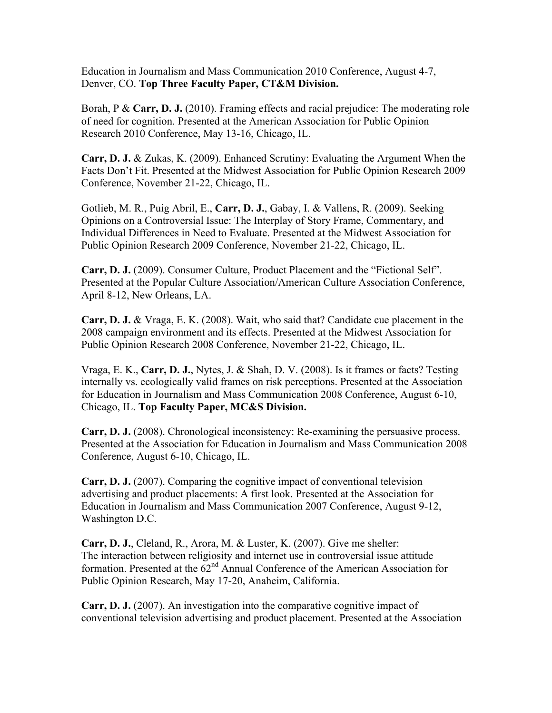Education in Journalism and Mass Communication 2010 Conference, August 4-7, Denver, CO. **Top Three Faculty Paper, CT&M Division.**

Borah, P & **Carr, D. J.** (2010). Framing effects and racial prejudice: The moderating role of need for cognition. Presented at the American Association for Public Opinion Research 2010 Conference, May 13-16, Chicago, IL.

**Carr, D. J.** & Zukas, K. (2009). Enhanced Scrutiny: Evaluating the Argument When the Facts Don't Fit. Presented at the Midwest Association for Public Opinion Research 2009 Conference, November 21-22, Chicago, IL.

Gotlieb, M. R., Puig Abril, E., **Carr, D. J.**, Gabay, I. & Vallens, R. (2009). Seeking Opinions on a Controversial Issue: The Interplay of Story Frame, Commentary, and Individual Differences in Need to Evaluate. Presented at the Midwest Association for Public Opinion Research 2009 Conference, November 21-22, Chicago, IL.

**Carr, D. J.** (2009). Consumer Culture, Product Placement and the "Fictional Self". Presented at the Popular Culture Association/American Culture Association Conference, April 8-12, New Orleans, LA.

**Carr, D. J.** & Vraga, E. K. (2008). Wait, who said that? Candidate cue placement in the 2008 campaign environment and its effects. Presented at the Midwest Association for Public Opinion Research 2008 Conference, November 21-22, Chicago, IL.

Vraga, E. K., **Carr, D. J.**, Nytes, J. & Shah, D. V. (2008). Is it frames or facts? Testing internally vs. ecologically valid frames on risk perceptions. Presented at the Association for Education in Journalism and Mass Communication 2008 Conference, August 6-10, Chicago, IL. **Top Faculty Paper, MC&S Division.**

**Carr, D. J.** (2008). Chronological inconsistency: Re-examining the persuasive process. Presented at the Association for Education in Journalism and Mass Communication 2008 Conference, August 6-10, Chicago, IL.

**Carr, D. J.** (2007). Comparing the cognitive impact of conventional television advertising and product placements: A first look. Presented at the Association for Education in Journalism and Mass Communication 2007 Conference, August 9-12, Washington D.C.

**Carr, D. J.**, Cleland, R., Arora, M. & Luster, K. (2007). Give me shelter: The interaction between religiosity and internet use in controversial issue attitude formation. Presented at the  $62<sup>nd</sup>$  Annual Conference of the American Association for Public Opinion Research, May 17-20, Anaheim, California.

**Carr, D. J.** (2007). An investigation into the comparative cognitive impact of conventional television advertising and product placement. Presented at the Association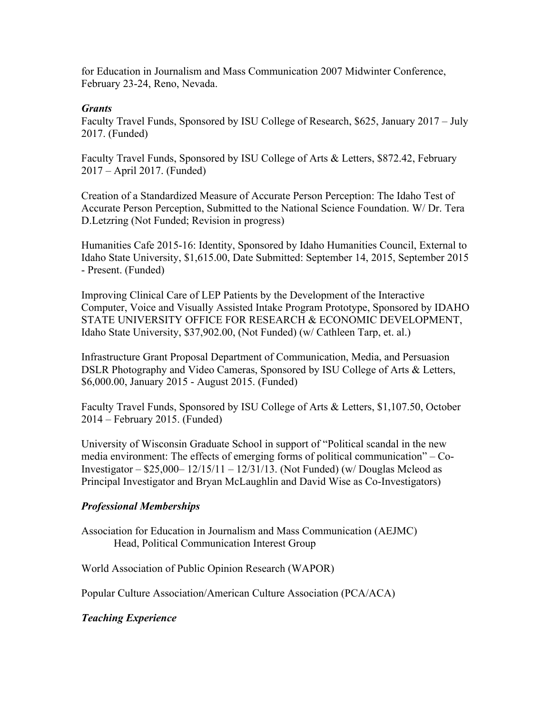for Education in Journalism and Mass Communication 2007 Midwinter Conference, February 23-24, Reno, Nevada.

### *Grants*

Faculty Travel Funds, Sponsored by ISU College of Research, \$625, January 2017 – July 2017. (Funded)

Faculty Travel Funds, Sponsored by ISU College of Arts & Letters, \$872.42, February 2017 – April 2017. (Funded)

Creation of a Standardized Measure of Accurate Person Perception: The Idaho Test of Accurate Person Perception, Submitted to the National Science Foundation. W/ Dr. Tera D.Letzring (Not Funded; Revision in progress)

Humanities Cafe 2015-16: Identity, Sponsored by Idaho Humanities Council, External to Idaho State University, \$1,615.00, Date Submitted: September 14, 2015, September 2015 - Present. (Funded)

Improving Clinical Care of LEP Patients by the Development of the Interactive Computer, Voice and Visually Assisted Intake Program Prototype, Sponsored by IDAHO STATE UNIVERSITY OFFICE FOR RESEARCH & ECONOMIC DEVELOPMENT, Idaho State University, \$37,902.00, (Not Funded) (w/ Cathleen Tarp, et. al.)

Infrastructure Grant Proposal Department of Communication, Media, and Persuasion DSLR Photography and Video Cameras, Sponsored by ISU College of Arts & Letters, \$6,000.00, January 2015 - August 2015. (Funded)

Faculty Travel Funds, Sponsored by ISU College of Arts & Letters, \$1,107.50, October 2014 – February 2015. (Funded)

University of Wisconsin Graduate School in support of "Political scandal in the new media environment: The effects of emerging forms of political communication" – Co-Investigator – \$25,000– 12/15/11 – 12/31/13. (Not Funded) (w/ Douglas Mcleod as Principal Investigator and Bryan McLaughlin and David Wise as Co-Investigators)

# *Professional Memberships*

Association for Education in Journalism and Mass Communication (AEJMC) Head, Political Communication Interest Group

World Association of Public Opinion Research (WAPOR)

Popular Culture Association/American Culture Association (PCA/ACA)

*Teaching Experience*